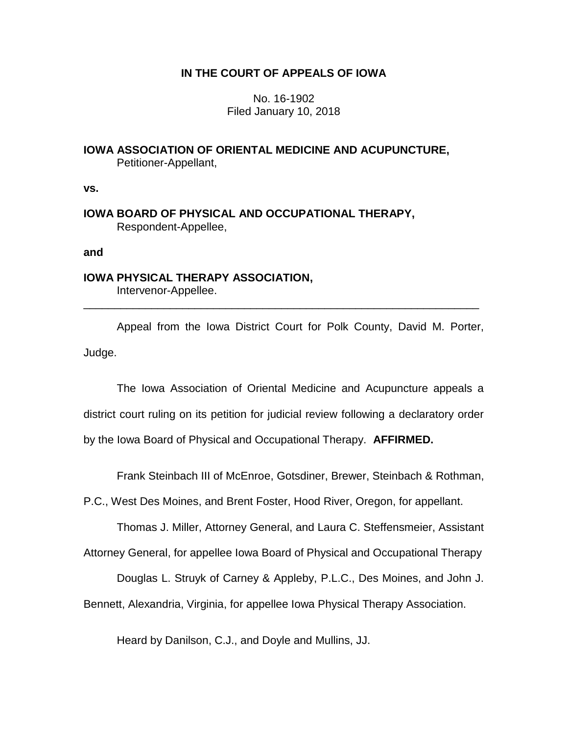# **IN THE COURT OF APPEALS OF IOWA**

No. 16-1902 Filed January 10, 2018

**IOWA ASSOCIATION OF ORIENTAL MEDICINE AND ACUPUNCTURE,** Petitioner-Appellant,

**vs.**

**IOWA BOARD OF PHYSICAL AND OCCUPATIONAL THERAPY,** Respondent-Appellee,

**and**

# **IOWA PHYSICAL THERAPY ASSOCIATION,**

Intervenor-Appellee. \_\_\_\_\_\_\_\_\_\_\_\_\_\_\_\_\_\_\_\_\_\_\_\_\_\_\_\_\_\_\_\_\_\_\_\_\_\_\_\_\_\_\_\_\_\_\_\_\_\_\_\_\_\_\_\_\_\_\_\_\_\_\_\_

Appeal from the Iowa District Court for Polk County, David M. Porter, Judge.

The Iowa Association of Oriental Medicine and Acupuncture appeals a district court ruling on its petition for judicial review following a declaratory order by the Iowa Board of Physical and Occupational Therapy. **AFFIRMED.** 

Frank Steinbach III of McEnroe, Gotsdiner, Brewer, Steinbach & Rothman,

P.C., West Des Moines, and Brent Foster, Hood River, Oregon, for appellant.

Thomas J. Miller, Attorney General, and Laura C. Steffensmeier, Assistant

Attorney General, for appellee Iowa Board of Physical and Occupational Therapy

Douglas L. Struyk of Carney & Appleby, P.L.C., Des Moines, and John J.

Bennett, Alexandria, Virginia, for appellee Iowa Physical Therapy Association.

Heard by Danilson, C.J., and Doyle and Mullins, JJ.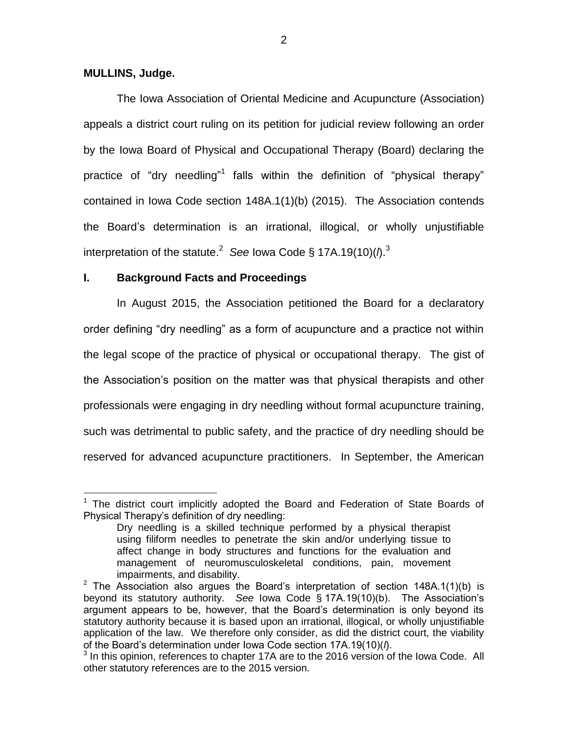## **MULLINS, Judge.**

 $\overline{a}$ 

The Iowa Association of Oriental Medicine and Acupuncture (Association) appeals a district court ruling on its petition for judicial review following an order by the Iowa Board of Physical and Occupational Therapy (Board) declaring the practice of "dry needling"<sup>1</sup> falls within the definition of "physical therapy" contained in Iowa Code section 148A.1(1)(b) (2015). The Association contends the Board's determination is an irrational, illogical, or wholly unjustifiable interpretation of the statute.<sup>2</sup> See lowa Code § 17A.19(10)( $\Lambda$ .<sup>3</sup>

# **I. Background Facts and Proceedings**

In August 2015, the Association petitioned the Board for a declaratory order defining "dry needling" as a form of acupuncture and a practice not within the legal scope of the practice of physical or occupational therapy. The gist of the Association's position on the matter was that physical therapists and other professionals were engaging in dry needling without formal acupuncture training, such was detrimental to public safety, and the practice of dry needling should be reserved for advanced acupuncture practitioners. In September, the American

 $<sup>1</sup>$  The district court implicitly adopted the Board and Federation of State Boards of</sup> Physical Therapy's definition of dry needling:

Dry needling is a skilled technique performed by a physical therapist using filiform needles to penetrate the skin and/or underlying tissue to affect change in body structures and functions for the evaluation and management of neuromusculoskeletal conditions, pain, movement impairments, and disability.

<sup>&</sup>lt;sup>2</sup> The Association also argues the Board's interpretation of section 148A.1(1)(b) is beyond its statutory authority. *See* Iowa Code § 17A.19(10)(b). The Association's argument appears to be, however, that the Board's determination is only beyond its statutory authority because it is based upon an irrational, illogical, or wholly unjustifiable application of the law. We therefore only consider, as did the district court, the viability of the Board's determination under Iowa Code section 17A.19(10)(*l*).

<sup>&</sup>lt;sup>3</sup> In this opinion, references to chapter 17A are to the 2016 version of the Iowa Code. All other statutory references are to the 2015 version.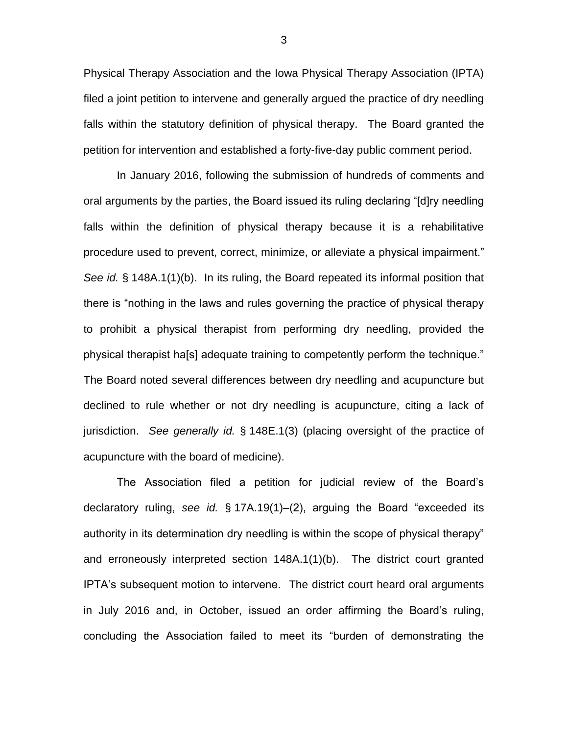Physical Therapy Association and the Iowa Physical Therapy Association (IPTA) filed a joint petition to intervene and generally argued the practice of dry needling falls within the statutory definition of physical therapy. The Board granted the petition for intervention and established a forty-five-day public comment period.

In January 2016, following the submission of hundreds of comments and oral arguments by the parties, the Board issued its ruling declaring "[d]ry needling falls within the definition of physical therapy because it is a rehabilitative procedure used to prevent, correct, minimize, or alleviate a physical impairment." *See id.* § 148A.1(1)(b). In its ruling, the Board repeated its informal position that there is "nothing in the laws and rules governing the practice of physical therapy to prohibit a physical therapist from performing dry needling, provided the physical therapist ha[s] adequate training to competently perform the technique." The Board noted several differences between dry needling and acupuncture but declined to rule whether or not dry needling is acupuncture, citing a lack of jurisdiction. *See generally id.* § 148E.1(3) (placing oversight of the practice of acupuncture with the board of medicine).

The Association filed a petition for judicial review of the Board's declaratory ruling, *see id.* § 17A.19(1)–(2), arguing the Board "exceeded its authority in its determination dry needling is within the scope of physical therapy" and erroneously interpreted section 148A.1(1)(b). The district court granted IPTA's subsequent motion to intervene. The district court heard oral arguments in July 2016 and, in October, issued an order affirming the Board's ruling, concluding the Association failed to meet its "burden of demonstrating the

3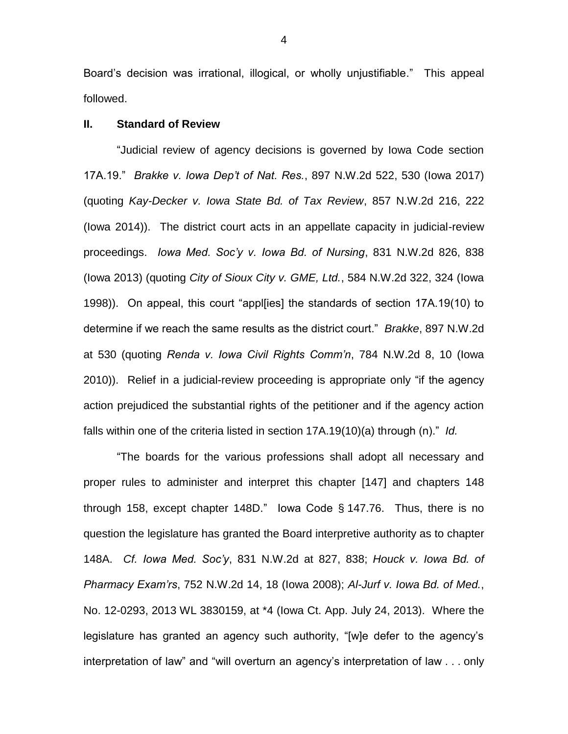Board's decision was irrational, illogical, or wholly unjustifiable." This appeal followed.

### **II. Standard of Review**

"Judicial review of agency decisions is governed by Iowa Code section 17A.19." *Brakke v. Iowa Dep't of Nat. Res.*, 897 N.W.2d 522, 530 (Iowa 2017) (quoting *Kay-Decker v. Iowa State Bd. of Tax Review*, 857 N.W.2d 216, 222 (Iowa 2014)). The district court acts in an appellate capacity in judicial-review proceedings. *Iowa Med. Soc'y v. Iowa Bd. of Nursing*, 831 N.W.2d 826, 838 (Iowa 2013) (quoting *City of Sioux City v. GME, Ltd.*, 584 N.W.2d 322, 324 (Iowa 1998)). On appeal, this court "appl[ies] the standards of section 17A.19(10) to determine if we reach the same results as the district court." *Brakke*, 897 N.W.2d at 530 (quoting *Renda v. Iowa Civil Rights Comm'n*, 784 N.W.2d 8, 10 (Iowa 2010)). Relief in a judicial-review proceeding is appropriate only "if the agency action prejudiced the substantial rights of the petitioner and if the agency action falls within one of the criteria listed in section 17A.19(10)(a) through (n)." *Id.*

"The boards for the various professions shall adopt all necessary and proper rules to administer and interpret this chapter [147] and chapters 148 through 158, except chapter 148D." Iowa Code § 147.76. Thus, there is no question the legislature has granted the Board interpretive authority as to chapter 148A. *Cf. Iowa Med. Soc'y*, 831 N.W.2d at 827, 838; *Houck v. Iowa Bd. of Pharmacy Exam'rs*, 752 N.W.2d 14, 18 (Iowa 2008); *Al-Jurf v. Iowa Bd. of Med.*, No. 12-0293, 2013 WL 3830159, at \*4 (Iowa Ct. App. July 24, 2013). Where the legislature has granted an agency such authority, "[w]e defer to the agency's interpretation of law" and "will overturn an agency's interpretation of law . . . only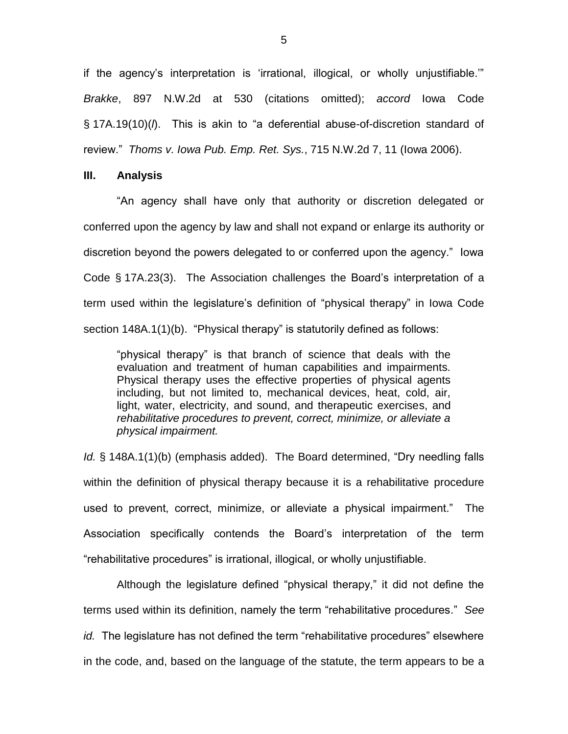if the agency's interpretation is 'irrational, illogical, or wholly unjustifiable.'" *Brakke*, 897 N.W.2d at 530 (citations omitted); *accord* Iowa Code § 17A.19(10)(*l*). This is akin to "a deferential abuse-of-discretion standard of review." *Thoms v. Iowa Pub. Emp. Ret. Sys.*, 715 N.W.2d 7, 11 (Iowa 2006).

#### **III. Analysis**

"An agency shall have only that authority or discretion delegated or conferred upon the agency by law and shall not expand or enlarge its authority or discretion beyond the powers delegated to or conferred upon the agency." Iowa Code § 17A.23(3). The Association challenges the Board's interpretation of a term used within the legislature's definition of "physical therapy" in Iowa Code section 148A.1(1)(b). "Physical therapy" is statutorily defined as follows:

"physical therapy" is that branch of science that deals with the evaluation and treatment of human capabilities and impairments. Physical therapy uses the effective properties of physical agents including, but not limited to, mechanical devices, heat, cold, air, light, water, electricity, and sound, and therapeutic exercises, and *rehabilitative procedures to prevent, correct, minimize, or alleviate a physical impairment.*

*Id.* § 148A.1(1)(b) (emphasis added). The Board determined, "Dry needling falls within the definition of physical therapy because it is a rehabilitative procedure used to prevent, correct, minimize, or alleviate a physical impairment." The Association specifically contends the Board's interpretation of the term "rehabilitative procedures" is irrational, illogical, or wholly unjustifiable.

Although the legislature defined "physical therapy," it did not define the terms used within its definition, namely the term "rehabilitative procedures." *See id.* The legislature has not defined the term "rehabilitative procedures" elsewhere in the code, and, based on the language of the statute, the term appears to be a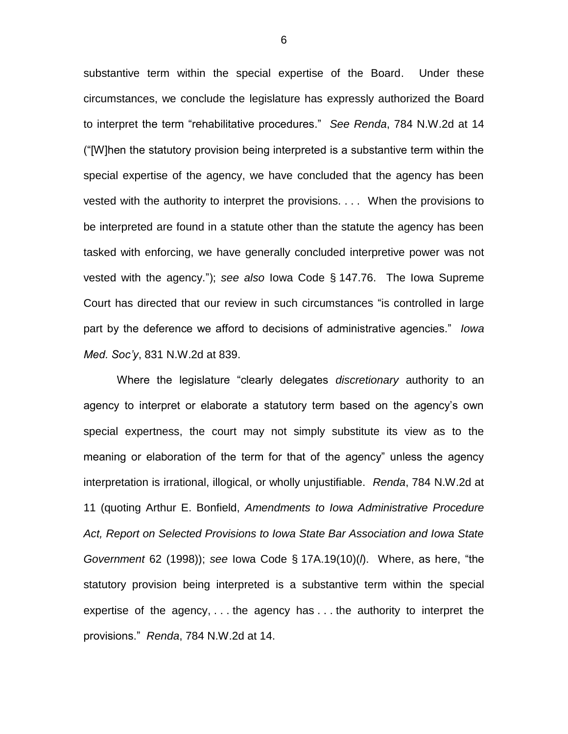substantive term within the special expertise of the Board. Under these circumstances, we conclude the legislature has expressly authorized the Board to interpret the term "rehabilitative procedures." *See Renda*, 784 N.W.2d at 14 ("[W]hen the statutory provision being interpreted is a substantive term within the special expertise of the agency, we have concluded that the agency has been vested with the authority to interpret the provisions. . . . When the provisions to be interpreted are found in a statute other than the statute the agency has been tasked with enforcing, we have generally concluded interpretive power was not vested with the agency."); *see also* Iowa Code § 147.76. The Iowa Supreme Court has directed that our review in such circumstances "is controlled in large part by the deference we afford to decisions of administrative agencies." *Iowa Med. Soc'y*, 831 N.W.2d at 839.

Where the legislature "clearly delegates *discretionary* authority to an agency to interpret or elaborate a statutory term based on the agency's own special expertness, the court may not simply substitute its view as to the meaning or elaboration of the term for that of the agency" unless the agency interpretation is irrational, illogical, or wholly unjustifiable. *Renda*, 784 N.W.2d at 11 (quoting Arthur E. Bonfield, *Amendments to Iowa Administrative Procedure Act, Report on Selected Provisions to Iowa State Bar Association and Iowa State Government* 62 (1998)); *see* Iowa Code § 17A.19(10)(*l*). Where, as here, "the statutory provision being interpreted is a substantive term within the special expertise of the agency, . . . the agency has . . . the authority to interpret the provisions." *Renda*, 784 N.W.2d at 14.

6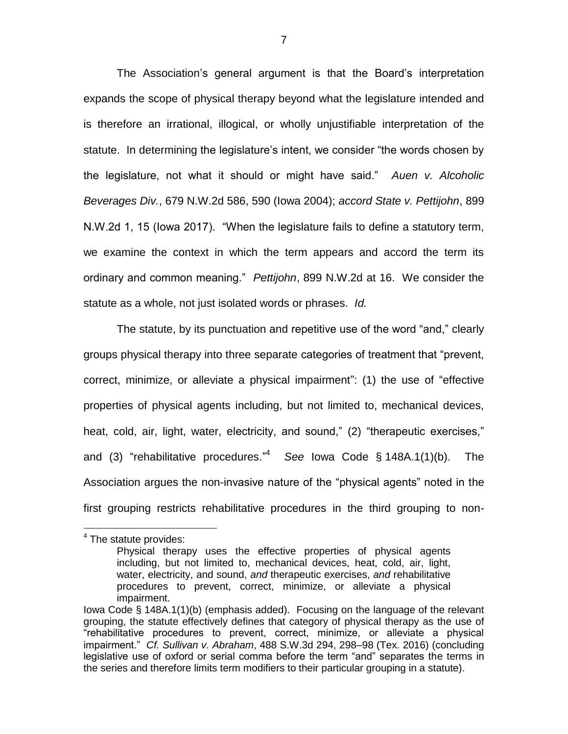The Association's general argument is that the Board's interpretation expands the scope of physical therapy beyond what the legislature intended and is therefore an irrational, illogical, or wholly unjustifiable interpretation of the statute. In determining the legislature's intent, we consider "the words chosen by the legislature, not what it should or might have said." *Auen v. Alcoholic Beverages Div.*, 679 N.W.2d 586, 590 (Iowa 2004); *accord State v. Pettijohn*, 899 N.W.2d 1, 15 (Iowa 2017). "When the legislature fails to define a statutory term, we examine the context in which the term appears and accord the term its ordinary and common meaning." *Pettijohn*, 899 N.W.2d at 16. We consider the statute as a whole, not just isolated words or phrases. *Id.*

The statute, by its punctuation and repetitive use of the word "and," clearly groups physical therapy into three separate categories of treatment that "prevent, correct, minimize, or alleviate a physical impairment": (1) the use of "effective properties of physical agents including, but not limited to, mechanical devices, heat, cold, air, light, water, electricity, and sound," (2) "therapeutic exercises," and (3) "rehabilitative procedures." 4 *See* Iowa Code § 148A.1(1)(b). The Association argues the non-invasive nature of the "physical agents" noted in the first grouping restricts rehabilitative procedures in the third grouping to non-

 $\overline{a}$ 

<sup>&</sup>lt;sup>4</sup> The statute provides:

Physical therapy uses the effective properties of physical agents including, but not limited to, mechanical devices, heat, cold, air, light, water, electricity, and sound, *and* therapeutic exercises, *and* rehabilitative procedures to prevent, correct, minimize, or alleviate a physical impairment.

Iowa Code § 148A.1(1)(b) (emphasis added). Focusing on the language of the relevant grouping, the statute effectively defines that category of physical therapy as the use of "rehabilitative procedures to prevent, correct, minimize, or alleviate a physical impairment." *Cf. Sullivan v. Abraham*, 488 S.W.3d 294, 298–98 (Tex. 2016) (concluding legislative use of oxford or serial comma before the term "and" separates the terms in the series and therefore limits term modifiers to their particular grouping in a statute).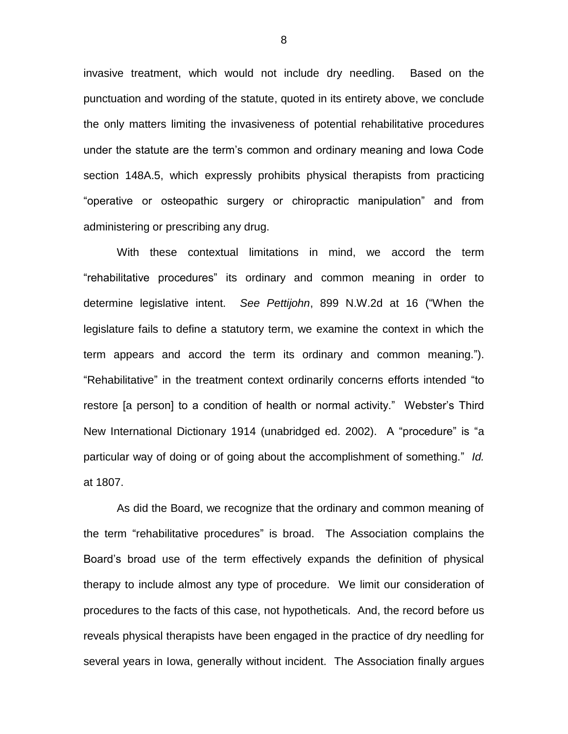invasive treatment, which would not include dry needling. Based on the punctuation and wording of the statute, quoted in its entirety above, we conclude the only matters limiting the invasiveness of potential rehabilitative procedures under the statute are the term's common and ordinary meaning and Iowa Code section 148A.5, which expressly prohibits physical therapists from practicing "operative or osteopathic surgery or chiropractic manipulation" and from administering or prescribing any drug.

With these contextual limitations in mind, we accord the term "rehabilitative procedures" its ordinary and common meaning in order to determine legislative intent. *See Pettijohn*, 899 N.W.2d at 16 ("When the legislature fails to define a statutory term, we examine the context in which the term appears and accord the term its ordinary and common meaning."). "Rehabilitative" in the treatment context ordinarily concerns efforts intended "to restore [a person] to a condition of health or normal activity." Webster's Third New International Dictionary 1914 (unabridged ed. 2002). A "procedure" is "a particular way of doing or of going about the accomplishment of something." *Id.* at 1807.

As did the Board, we recognize that the ordinary and common meaning of the term "rehabilitative procedures" is broad. The Association complains the Board's broad use of the term effectively expands the definition of physical therapy to include almost any type of procedure. We limit our consideration of procedures to the facts of this case, not hypotheticals. And, the record before us reveals physical therapists have been engaged in the practice of dry needling for several years in Iowa, generally without incident. The Association finally argues

8